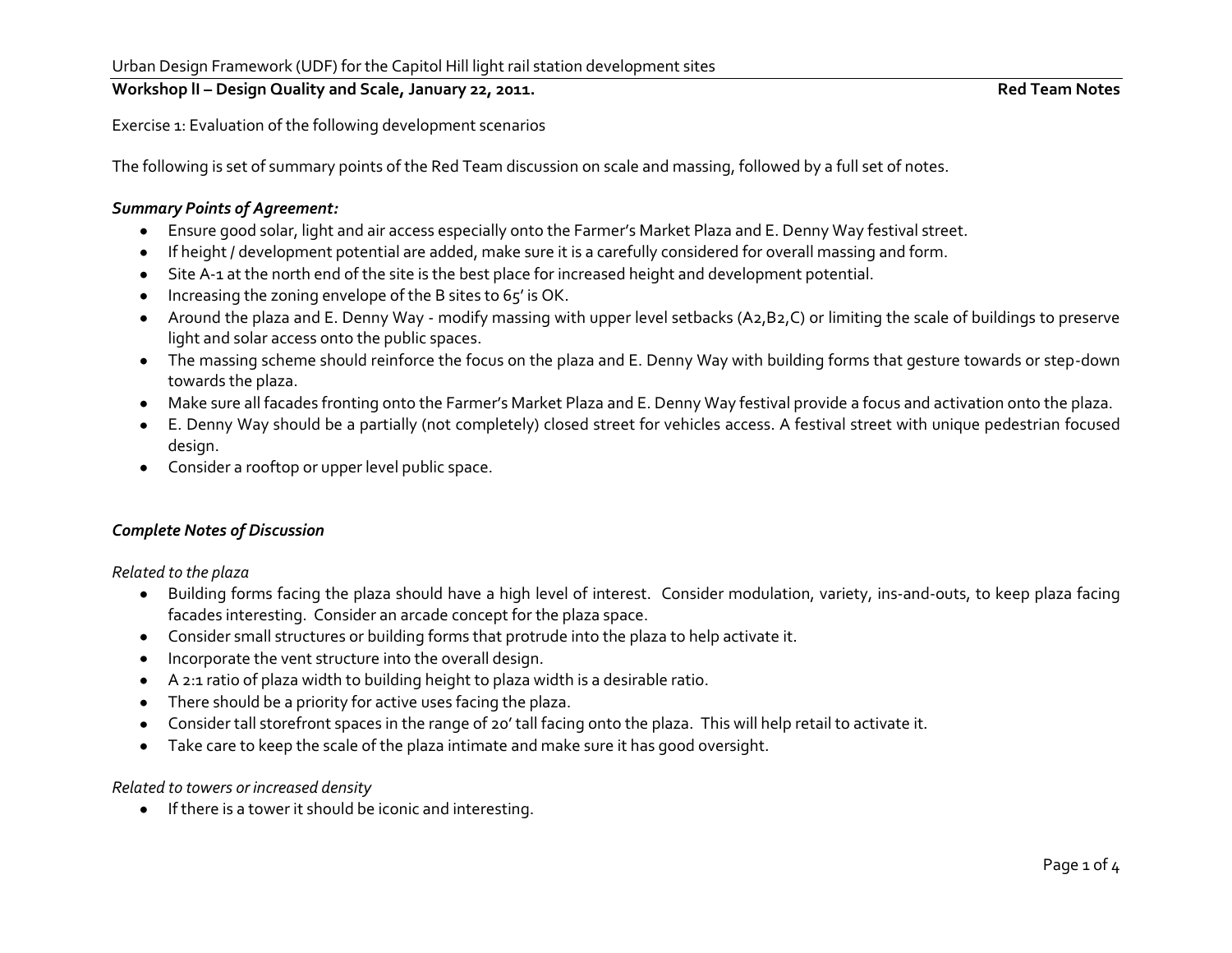# Workshop II – Design Quality and Scale, January 22, 2011. **Red Team Notes** Red Team Notes

Exercise 1: Evaluation of the following development scenarios

The following is set of summary points of the Red Team discussion on scale and massing, followed by a full set of notes.

### *Summary Points of Agreement:*

- Ensure good solar, light and air access especially onto the Farmer's Market Plaza and E. Denny Way festival street.
- If height / development potential are added, make sure it is a carefully considered for overall massing and form.  $\bullet$
- Site A-1 at the north end of the site is the best place for increased height and development potential.  $\bullet$
- Increasing the zoning envelope of the B sites to 65' is OK.  $\bullet$
- Around the plaza and E. Denny Way modify massing with upper level setbacks (A2,B2,C) or limiting the scale of buildings to preserve  $\bullet$ light and solar access onto the public spaces.
- The massing scheme should reinforce the focus on the plaza and E. Denny Way with building forms that gesture towards or step-down towards the plaza.
- Make sure all facades fronting onto the Farmer's Market Plaza and E. Denny Way festival provide a focus and activation onto the plaza.
- E. Denny Way should be a partially (not completely) closed street for vehicles access. A festival street with unique pedestrian focused design.
- Consider a rooftop or upper level public space.

# *Complete Notes of Discussion*

*Related to the plaza* 

- Building forms facing the plaza should have a high level of interest. Consider modulation, variety, ins-and-outs, to keep plaza facing facades interesting. Consider an arcade concept for the plaza space.
- Consider small structures or building forms that protrude into the plaza to help activate it.  $\bullet$
- Incorporate the vent structure into the overall design.  $\bullet$
- A 2:1 ratio of plaza width to building height to plaza width is a desirable ratio.  $\bullet$
- There should be a priority for active uses facing the plaza.  $\bullet$
- Consider tall storefront spaces in the range of 20' tall facing onto the plaza. This will help retail to activate it.  $\bullet$
- Take care to keep the scale of the plaza intimate and make sure it has good oversight.  $\bullet$

# *Related to towers or increased density*

If there is a tower it should be iconic and interesting.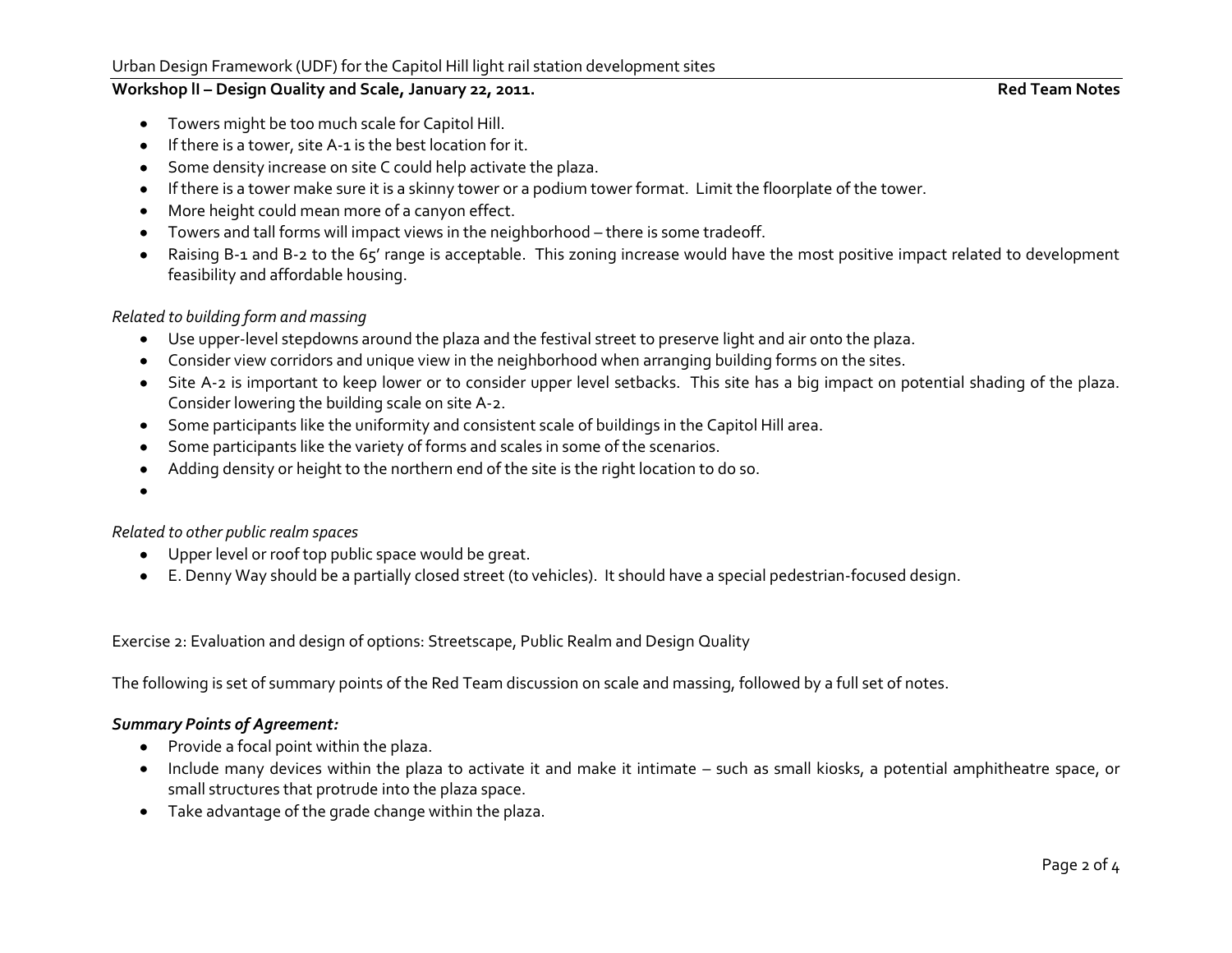### Urban Design Framework (UDF) for the Capitol Hill light rail station development sites

### Workshop II – Design Quality and Scale, January 22, 2011. **Red Team Notes** Red Team Notes

- Towers might be too much scale for Capitol Hill.  $\bullet$
- If there is a tower, site A-1 is the best location for it.  $\bullet$
- Some density increase on site C could help activate the plaza.
- If there is a tower make sure it is a skinny tower or a podium tower format. Limit the floorplate of the tower.  $\bullet$
- More height could mean more of a canyon effect.  $\bullet$
- Towers and tall forms will impact views in the neighborhood there is some tradeoff.  $\bullet$
- Raising B-1 and B-2 to the 65' range is acceptable. This zoning increase would have the most positive impact related to development  $\bullet$ feasibility and affordable housing.

### *Related to building form and massing*

- Use upper-level stepdowns around the plaza and the festival street to preserve light and air onto the plaza.
- Consider view corridors and unique view in the neighborhood when arranging building forms on the sites.  $\bullet$
- Site A-2 is important to keep lower or to consider upper level setbacks. This site has a big impact on potential shading of the plaza. Consider lowering the building scale on site A-2.
- Some participants like the uniformity and consistent scale of buildings in the Capitol Hill area.  $\bullet$
- Some participants like the variety of forms and scales in some of the scenarios.  $\bullet$
- Adding density or height to the northern end of the site is the right location to do so.  $\bullet$
- 

# *Related to other public realm spaces*

- Upper level or roof top public space would be great.
- E. Denny Way should be a partially closed street (to vehicles). It should have a special pedestrian-focused design.

Exercise 2: Evaluation and design of options: Streetscape, Public Realm and Design Quality

The following is set of summary points of the Red Team discussion on scale and massing, followed by a full set of notes.

# *Summary Points of Agreement:*

- Provide a focal point within the plaza.
- Include many devices within the plaza to activate it and make it intimate such as small kiosks, a potential amphitheatre space, or small structures that protrude into the plaza space.
- Take advantage of the grade change within the plaza. $\bullet$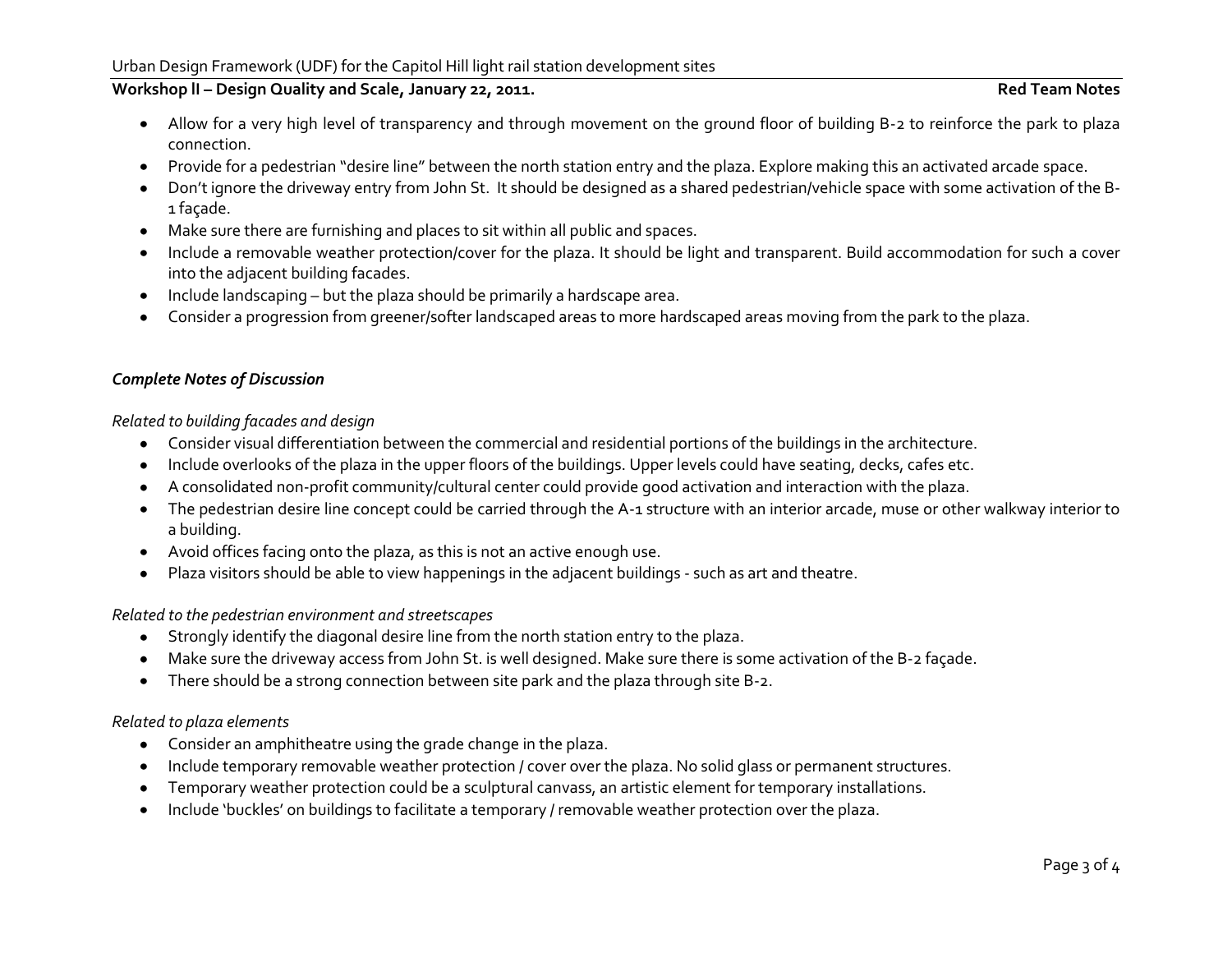# Workshop II – Design Quality and Scale, January 22, 2011. **Red Team Notes** Red Team Notes

- Allow for a very high level of transparency and through movement on the ground floor of building B-2 to reinforce the park to plaza connection.
- Provide for a pedestrian "desire line" between the north station entry and the plaza. Explore making this an activated arcade space.  $\bullet$
- Don't ignore the driveway entry from John St. It should be designed as a shared pedestrian/vehicle space with some activation of the B-1 façade.
- Make sure there are furnishing and places to sit within all public and spaces.
- Include a removable weather protection/cover for the plaza. It should be light and transparent. Build accommodation for such a cover into the adjacent building facades.
- Include landscaping but the plaza should be primarily a hardscape area.  $\bullet$
- Consider a progression from greener/softer landscaped areas to more hardscaped areas moving from the park to the plaza.

# *Complete Notes of Discussion*

# *Related to building facades and design*

- Consider visual differentiation between the commercial and residential portions of the buildings in the architecture.  $\bullet$
- Include overlooks of the plaza in the upper floors of the buildings. Upper levels could have seating, decks, cafes etc.  $\bullet$
- A consolidated non-profit community/cultural center could provide good activation and interaction with the plaza.  $\bullet$
- The pedestrian desire line concept could be carried through the A-1 structure with an interior arcade, muse or other walkway interior to  $\bullet$ a building.
- Avoid offices facing onto the plaza, as this is not an active enough use.  $\bullet$
- Plaza visitors should be able to view happenings in the adjacent buildings such as art and theatre.

### *Related to the pedestrian environment and streetscapes*

- Strongly identify the diagonal desire line from the north station entry to the plaza.  $\bullet$
- Make sure the driveway access from John St. is well designed. Make sure there is some activation of the B-2 façade.  $\bullet$
- There should be a strong connection between site park and the plaza through site B-2.  $\bullet$

# *Related to plaza elements*

- Consider an amphitheatre using the grade change in the plaza.  $\bullet$
- Include temporary removable weather protection / cover over the plaza. No solid glass or permanent structures.  $\bullet$
- Temporary weather protection could be a sculptural canvass, an artistic element for temporary installations.  $\bullet$
- Include 'buckles' on buildings to facilitate a temporary / removable weather protection over the plaza. $\bullet$